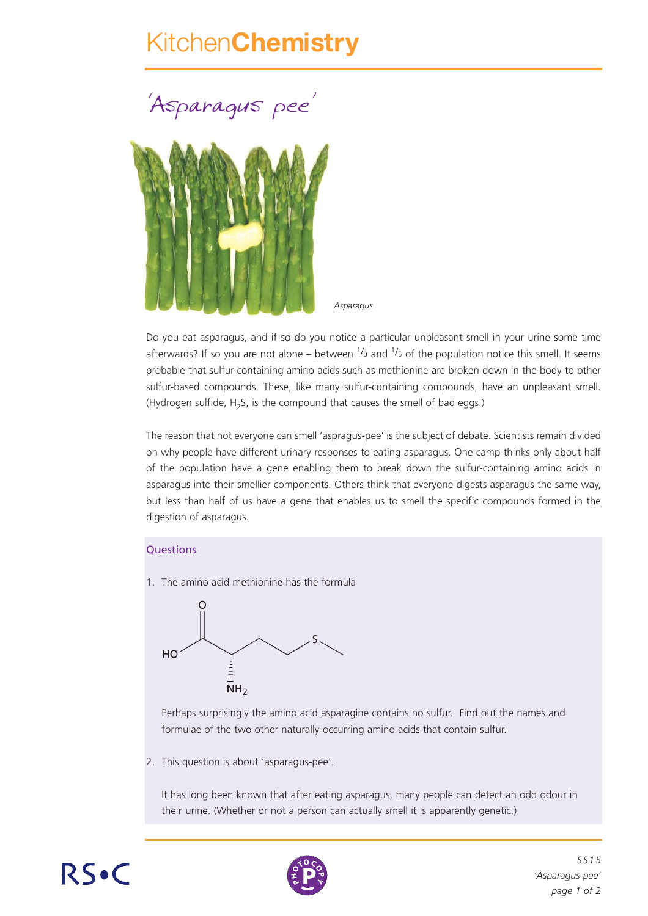## Kitchen**Chemistry**

*'*Asparagus pee *'*



*Asparagus*

Do you eat asparagus, and if so do you notice a particular unpleasant smell in your urine some time afterwards? If so you are not alone – between  $\frac{1}{3}$  and  $\frac{1}{5}$  of the population notice this smell. It seems probable that sulfur-containing amino acids such as methionine are broken down in the body to other sulfur-based compounds. These, like many sulfur-containing compounds, have an unpleasant smell. (Hydrogen sulfide,  $H_2S$ , is the compound that causes the smell of bad eggs.)

The reason that not everyone can smell 'aspragus-pee' is the subject of debate. Scientists remain divided on why people have different urinary responses to eating asparagus. One camp thinks only about half of the population have a gene enabling them to break down the sulfur-containing amino acids in asparagus into their smellier components. Others think that everyone digests asparagus the same way, but less than half of us have a gene that enables us to smell the specific compounds formed in the digestion of asparagus.

## **Ouestions**

1. The amino acid methionine has the formula



Perhaps surprisingly the amino acid asparagine contains no sulfur. Find out the names and formulae of the two other naturally-occurring amino acids that contain sulfur.

2. This question is about 'asparagus-pee'.

It has long been known that after eating asparagus, many people can detect an odd odour in their urine. (Whether or not a person can actually smell it is apparently genetic.)





*SS15 'Asparagus pee' page 1 of 2*